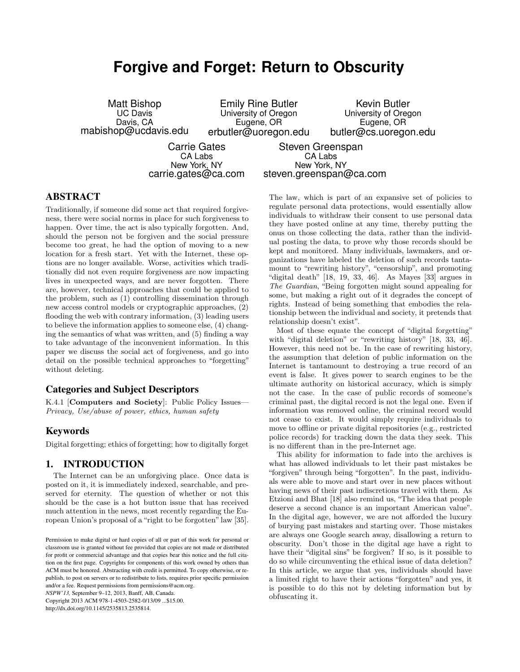# **Forgive and Forget: Return to Obscurity**

Matt Bishop UC Davis Davis, CA mabishop@ucdavis.edu

Emily Rine Butler University of Oregon Eugene, OR erbutler@uoregon.edu

Kevin Butler University of Oregon Eugene, OR butler@cs.uoregon.edu

Carrie Gates CA Labs New York, NY carrie.gates@ca.com

Steven Greenspan CA Labs New York, NY steven.greenspan@ca.com

# ABSTRACT

Traditionally, if someone did some act that required forgiveness, there were social norms in place for such forgiveness to happen. Over time, the act is also typically forgotten. And, should the person not be forgiven and the social pressure become too great, he had the option of moving to a new location for a fresh start. Yet with the Internet, these options are no longer available. Worse, activities which traditionally did not even require forgiveness are now impacting lives in unexpected ways, and are never forgotten. There are, however, technical approaches that could be applied to the problem, such as (1) controlling dissemination through new access control models or cryptographic approaches, (2) flooding the web with contrary information, (3) leading users to believe the information applies to someone else, (4) changing the semantics of what was written, and (5) finding a way to take advantage of the inconvenient information. In this paper we discuss the social act of forgiveness, and go into detail on the possible technical approaches to "forgetting" without deleting.

# Categories and Subject Descriptors

K.4.1 [Computers and Society]: Public Policy Issues— Privacy, Use/abuse of power, ethics, human safety

# Keywords

Digital forgetting; ethics of forgetting; how to digitally forget

# 1. INTRODUCTION

The Internet can be an unforgiving place. Once data is posted on it, it is immediately indexed, searchable, and preserved for eternity. The question of whether or not this should be the case is a hot button issue that has received much attention in the news, most recently regarding the European Union's proposal of a "right to be forgotten" law [35].

*NSPW'13,* September 9–12, 2013, Banff, AB, Canada. Copyright 2013 ACM 978-1-4503-2582-0/13/09 ...\$15.00. http://dx.doi.org/10.1145/2535813.2535814.

The law, which is part of an expansive set of policies to regulate personal data protections, would essentially allow individuals to withdraw their consent to use personal data they have posted online at any time, thereby putting the onus on those collecting the data, rather than the individual posting the data, to prove why those records should be kept and monitored. Many individuals, lawmakers, and organizations have labeled the deletion of such records tantamount to "rewriting history", "censorship", and promoting "digital death" [18, 19, 33, 46]. As Mayes [33] argues in The Guardian, "Being forgotten might sound appealing for some, but making a right out of it degrades the concept of rights. Instead of being something that embodies the relationship between the individual and society, it pretends that relationship doesn't exist".

Most of these equate the concept of "digital forgetting" with "digital deletion" or "rewriting history" [18, 33, 46]. However, this need not be. In the case of rewriting history, the assumption that deletion of public information on the Internet is tantamount to destroying a true record of an event is false. It gives power to search engines to be the ultimate authority on historical accuracy, which is simply not the case. In the case of public records of someone's criminal past, the digital record is not the legal one. Even if information was removed online, the criminal record would not cease to exist. It would simply require individuals to move to offline or private digital repositories (e.g., restricted police records) for tracking down the data they seek. This is no different than in the pre-Internet age.

This ability for information to fade into the archives is what has allowed individuals to let their past mistakes be "forgiven" through being "forgotten". In the past, individuals were able to move and start over in new places without having news of their past indiscretions travel with them. As Etzioni and Bhat [18] also remind us, "The idea that people deserve a second chance is an important American value". In the digital age, however, we are not afforded the luxury of burying past mistakes and starting over. Those mistakes are always one Google search away, disallowing a return to obscurity. Don't those in the digital age have a right to have their "digital sins" be forgiven? If so, is it possible to do so while circumventing the ethical issue of data deletion? In this article, we argue that yes, individuals should have a limited right to have their actions "forgotten" and yes, it is possible to do this not by deleting information but by obfuscating it.

Permission to make digital or hard copies of all or part of this work for personal or classroom use is granted without fee provided that copies are not made or distributed for profit or commercial advantage and that copies bear this notice and the full citation on the first page. Copyrights for components of this work owned by others than ACM must be honored. Abstracting with credit is permitted. To copy otherwise, or republish, to post on servers or to redistribute to lists, requires prior specific permission and/or a fee. Request permissions from permissions@acm.org.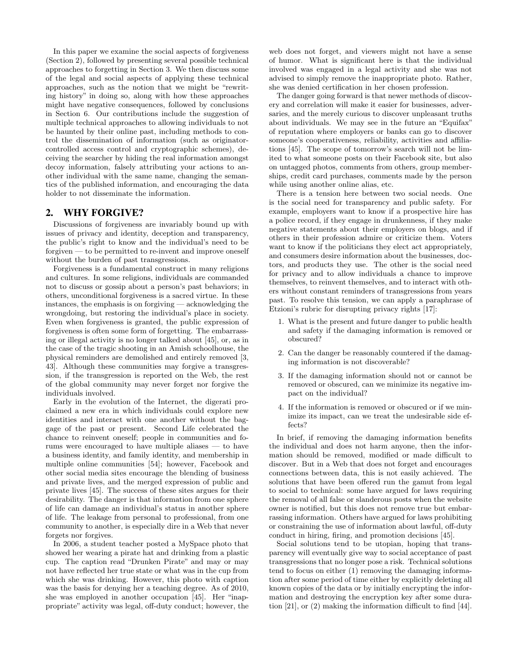In this paper we examine the social aspects of forgiveness (Section 2), followed by presenting several possible technical approaches to forgetting in Section 3. We then discuss some of the legal and social aspects of applying these technical approaches, such as the notion that we might be "rewriting history" in doing so, along with how these approaches might have negative consequences, followed by conclusions in Section 6. Our contributions include the suggestion of multiple technical approaches to allowing individuals to not be haunted by their online past, including methods to control the dissemination of information (such as originatorcontrolled access control and cryptographic schemes), deceiving the searcher by hiding the real information amongst decoy information, falsely attributing your actions to another individual with the same name, changing the semantics of the published information, and encouraging the data holder to not disseminate the information.

## 2. WHY FORGIVE?

Discussions of forgiveness are invariably bound up with issues of privacy and identity, deception and transparency, the public's right to know and the individual's need to be forgiven — to be permitted to re-invent and improve oneself without the burden of past transgressions.

Forgiveness is a fundamental construct in many religions and cultures. In some religions, individuals are commanded not to discuss or gossip about a person's past behaviors; in others, unconditional forgiveness is a sacred virtue. In these instances, the emphasis is on forgiving — acknowledging the wrongdoing, but restoring the individual's place in society. Even when forgiveness is granted, the public expression of forgiveness is often some form of forgetting. The embarrassing or illegal activity is no longer talked about [45], or, as in the case of the tragic shooting in an Amish schoolhouse, the physical reminders are demolished and entirely removed [3, 43]. Although these communities may forgive a transgression, if the transgression is reported on the Web, the rest of the global community may never forget nor forgive the individuals involved.

Early in the evolution of the Internet, the digerati proclaimed a new era in which individuals could explore new identities and interact with one another without the baggage of the past or present. Second Life celebrated the chance to reinvent oneself; people in communities and forums were encouraged to have multiple aliases — to have a business identity, and family identity, and membership in multiple online communities [54]; however, Facebook and other social media sites encourage the blending of business and private lives, and the merged expression of public and private lives [45]. The success of these sites argues for their desirability. The danger is that information from one sphere of life can damage an individual's status in another sphere of life. The leakage from personal to professional, from one community to another, is especially dire in a Web that never forgets nor forgives.

In 2006, a student teacher posted a MySpace photo that showed her wearing a pirate hat and drinking from a plastic cup. The caption read "Drunken Pirate" and may or may not have reflected her true state or what was in the cup from which she was drinking. However, this photo with caption was the basis for denying her a teaching degree. As of 2010, she was employed in another occupation [45]. Her "inappropriate" activity was legal, off-duty conduct; however, the web does not forget, and viewers might not have a sense of humor. What is significant here is that the individual involved was engaged in a legal activity and she was not advised to simply remove the inappropriate photo. Rather, she was denied certification in her chosen profession.

The danger going forward is that newer methods of discovery and correlation will make it easier for businesses, adversaries, and the merely curious to discover unpleasant truths about individuals. We may see in the future an "Equifax" of reputation where employers or banks can go to discover someone's cooperativeness, reliability, activities and affiliations [45]. The scope of tomorrow's search will not be limited to what someone posts on their Facebook site, but also on untagged photos, comments from others, group memberships, credit card purchases, comments made by the person while using another online alias, etc.

There is a tension here between two social needs. One is the social need for transparency and public safety. For example, employers want to know if a prospective hire has a police record, if they engage in drunkenness, if they make negative statements about their employers on blogs, and if others in their profession admire or criticize them. Voters want to know if the politicians they elect act appropriately, and consumers desire information about the businesses, doctors, and products they use. The other is the social need for privacy and to allow individuals a chance to improve themselves, to reinvent themselves, and to interact with others without constant reminders of transgressions from years past. To resolve this tension, we can apply a paraphrase of Etzioni's rubric for disrupting privacy rights [17]:

- 1. What is the present and future danger to public health and safety if the damaging information is removed or obscured?
- 2. Can the danger be reasonably countered if the damaging information is not discoverable?
- 3. If the damaging information should not or cannot be removed or obscured, can we minimize its negative impact on the individual?
- 4. If the information is removed or obscured or if we minimize its impact, can we treat the undesirable side effects?

In brief, if removing the damaging information benefits the individual and does not harm anyone, then the information should be removed, modified or made difficult to discover. But in a Web that does not forget and encourages connections between data, this is not easily achieved. The solutions that have been offered run the gamut from legal to social to technical: some have argued for laws requiring the removal of all false or slanderous posts when the website owner is notified, but this does not remove true but embarrassing information. Others have argued for laws prohibiting or constraining the use of information about lawful, off-duty conduct in hiring, firing, and promotion decisions [45].

Social solutions tend to be utopian, hoping that transparency will eventually give way to social acceptance of past transgressions that no longer pose a risk. Technical solutions tend to focus on either (1) removing the damaging information after some period of time either by explicitly deleting all known copies of the data or by initially encrypting the information and destroying the encryption key after some duration [21], or (2) making the information difficult to find [44].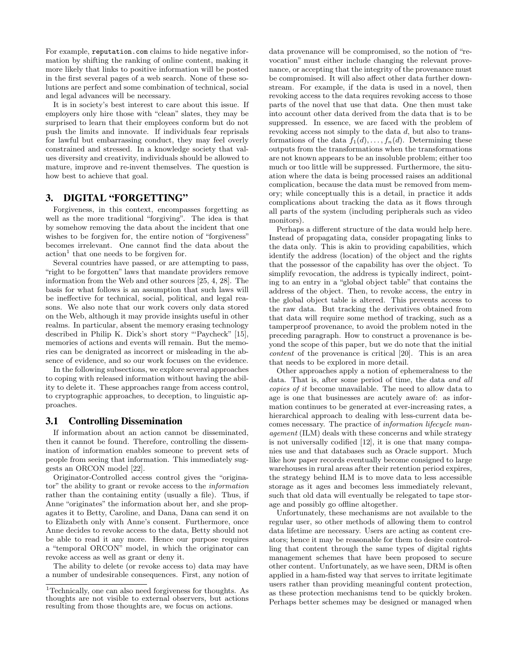For example, reputation.com claims to hide negative information by shifting the ranking of online content, making it more likely that links to positive information will be posted in the first several pages of a web search. None of these solutions are perfect and some combination of technical, social and legal advances will be necessary.

It is in society's best interest to care about this issue. If employers only hire those with "clean" slates, they may be surprised to learn that their employees conform but do not push the limits and innovate. If individuals fear reprisals for lawful but embarrassing conduct, they may feel overly constrained and stressed. In a knowledge society that values diversity and creativity, individuals should be allowed to mature, improve and re-invent themselves. The question is how best to achieve that goal.

# 3. DIGITAL "FORGETTING"

Forgiveness, in this context, encompasses forgetting as well as the more traditional "forgiving". The idea is that by somehow removing the data about the incident that one wishes to be forgiven for, the entire notion of "forgiveness" becomes irrelevant. One cannot find the data about the  $\arctan^1$  that one needs to be forgiven for.

Several countries have passed, or are attempting to pass, "right to be forgotten" laws that mandate providers remove information from the Web and other sources [25, 4, 28]. The basis for what follows is an assumption that such laws will be ineffective for technical, social, political, and legal reasons. We also note that our work covers only data stored on the Web, although it may provide insights useful in other realms. In particular, absent the memory erasing technology described in Philip K. Dick's short story "'Paycheck" [15], memories of actions and events will remain. But the memories can be denigrated as incorrect or misleading in the absence of evidence, and so our work focuses on the evidence.

In the following subsections, we explore several approaches to coping with released information without having the ability to delete it. These approaches range from access control, to cryptographic approaches, to deception, to linguistic approaches.

### 3.1 Controlling Dissemination

If information about an action cannot be disseminated, then it cannot be found. Therefore, controlling the dissemination of information enables someone to prevent sets of people from seeing that information. This immediately suggests an ORCON model [22].

Originator-Controlled access control gives the "originator" the ability to grant or revoke access to the information rather than the containing entity (usually a file). Thus, if Anne "originates" the information about her, and she propagates it to Betty, Caroline, and Dana, Dana can send it on to Elizabeth only with Anne's consent. Furthermore, once Anne decides to revoke access to the data, Betty should not be able to read it any more. Hence our purpose requires a "temporal ORCON" model, in which the originator can revoke access as well as grant or deny it.

The ability to delete (or revoke access to) data may have a number of undesirable consequences. First, any notion of data provenance will be compromised, so the notion of "revocation" must either include changing the relevant provenance, or accepting that the integrity of the provenance must be compromised. It will also affect other data further downstream. For example, if the data is used in a novel, then revoking access to the data requires revoking access to those parts of the novel that use that data. One then must take into account other data derived from the data that is to be suppressed. In essence, we are faced with the problem of revoking access not simply to the data d, but also to transformations of the data  $f_1(d), \ldots, f_n(d)$ . Determining these outputs from the transformations when the transformations are not known appears to be an insoluble problem; either too much or too little will be suppressed. Furthermore, the situation where the data is being processed raises an additional complication, because the data must be removed from memory; while conceptually this is a detail, in practice it adds complications about tracking the data as it flows through all parts of the system (including peripherals such as video monitors).

Perhaps a different structure of the data would help here. Instead of propagating data, consider propagating links to the data only. This is akin to providing capabilities, which identify the address (location) of the object and the rights that the possessor of the capability has over the object. To simplify revocation, the address is typically indirect, pointing to an entry in a "global object table" that contains the address of the object. Then, to revoke access, the entry in the global object table is altered. This prevents access to the raw data. But tracking the derivatives obtained from that data will require some method of tracking, such as a tamperproof provenance, to avoid the problem noted in the preceding paragraph. How to construct a provenance is beyond the scope of this paper, but we do note that the initial content of the provenance is critical [20]. This is an area that needs to be explored in more detail.

Other approaches apply a notion of ephemeralness to the data. That is, after some period of time, the data and all copies of it become unavailable. The need to allow data to age is one that businesses are acutely aware of: as information continues to be generated at ever-increasing rates, a hierarchical approach to dealing with less-current data becomes necessary. The practice of information lifecycle management (ILM) deals with these concerns and while strategy is not universally codified [12], it is one that many companies use and that databases such as Oracle support. Much like how paper records eventually become consigned to large warehouses in rural areas after their retention period expires, the strategy behind ILM is to move data to less accessible storage as it ages and becomes less immediately relevant, such that old data will eventually be relegated to tape storage and possibly go offline altogether.

Unfortunately, these mechanisms are not available to the regular user, so other methods of allowing them to control data lifetime are necessary. Users are acting as content creators; hence it may be reasonable for them to desire controlling that content through the same types of digital rights management schemes that have been proposed to secure other content. Unfortunately, as we have seen, DRM is often applied in a ham-fisted way that serves to irritate legitimate users rather than providing meaningful content protection, as these protection mechanisms tend to be quickly broken. Perhaps better schemes may be designed or managed when

 $^1\!$  Technically, one can also need for<br>giveness for thoughts. As thoughts are not visible to external observers, but actions resulting from those thoughts are, we focus on actions.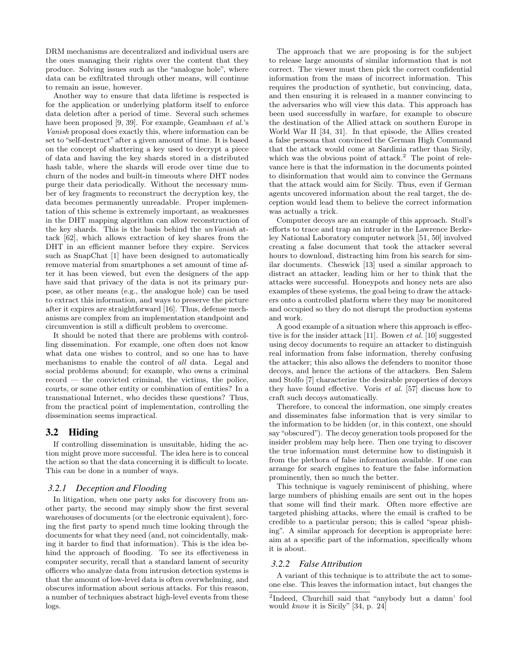DRM mechanisms are decentralized and individual users are the ones managing their rights over the content that they produce. Solving issues such as the "analogue hole", where data can be exfiltrated through other means, will continue to remain an issue, however.

Another way to ensure that data lifetime is respected is for the application or underlying platform itself to enforce data deletion after a period of time. Several such schemes have been proposed [9, 39]. For example, Geambasu et al.'s Vanish proposal does exactly this, where information can be set to "self-destruct" after a given amount of time. It is based on the concept of shattering a key used to decrypt a piece of data and having the key shards stored in a distributed hash table, where the shards will erode over time due to churn of the nodes and built-in timeouts where DHT nodes purge their data periodically. Without the necessary number of key fragments to reconstruct the decryption key, the data becomes permanently unreadable. Proper implementation of this scheme is extremely important, as weaknesses in the DHT mapping algorithm can allow reconstruction of the key shards. This is the basis behind the unVanish attack [62], which allows extraction of key shares from the DHT in an efficient manner before they expire. Services such as SnapChat [1] have been designed to automatically remove material from smartphones a set amount of time after it has been viewed, but even the designers of the app have said that privacy of the data is not its primary purpose, as other means (e.g., the analogue hole) can be used to extract this information, and ways to preserve the picture after it expires are straightforward [16]. Thus, defense mechanisms are complex from an implementation standpoint and circumvention is still a difficult problem to overcome.

It should be noted that there are problems with controlling dissemination. For example, one often does not know what data one wishes to control, and so one has to have mechanisms to enable the control of all data. Legal and social problems abound; for example, who owns a criminal record — the convicted criminal, the victims, the police, courts, or some other entity or combination of entities? In a transnational Internet, who decides these questions? Thus, from the practical point of implementation, controlling the dissemination seems impractical.

# 3.2 Hiding

If controlling dissemination is unsuitable, hiding the action might prove more successful. The idea here is to conceal the action so that the data concerning it is difficult to locate. This can be done in a number of ways.

#### *3.2.1 Deception and Flooding*

In litigation, when one party asks for discovery from another party, the second may simply show the first several warehouses of documents (or the electronic equivalent), forcing the first party to spend much time looking through the documents for what they need (and, not coincidentally, making it harder to find that information). This is the idea behind the approach of flooding. To see its effectiveness in computer security, recall that a standard lament of security officers who analyze data from intrusion detection systems is that the amount of low-level data is often overwhelming, and obscures information about serious attacks. For this reason, a number of techniques abstract high-level events from these logs.

The approach that we are proposing is for the subject to release large amounts of similar information that is not correct. The viewer must then pick the correct confidential information from the mass of incorrect information. This requires the production of synthetic, but convincing, data, and then ensuring it is released in a manner convincing to the adversaries who will view this data. This approach has been used successfully in warfare, for example to obscure the destination of the Allied attack on southern Europe in World War II [34, 31]. In that episode, the Allies created a false persona that convinced the German High Command that the attack would come at Sardinia rather than Sicily, which was the obvious point of attack.<sup>2</sup> The point of relevance here is that the information in the documents pointed to disinformation that would aim to convince the Germans that the attack would aim for Sicily. Thus, even if German agents uncovered information about the real target, the deception would lead them to believe the correct information was actually a trick.

Computer decoys are an example of this approach. Stoll's efforts to trace and trap an intruder in the Lawrence Berkeley National Laboratory computer network [51, 50] involved creating a false document that took the attacker several hours to download, distracting him from his search for similar documents. Cheswick [13] used a similar approach to distract an attacker, leading him or her to think that the attacks were successful. Honeypots and honey nets are also examples of these systems, the goal being to draw the attackers onto a controlled platform where they may be monitored and occupied so they do not disrupt the production systems and work.

A good example of a situation where this approach is effective is for the insider attack [11]. Bowen et al. [10] suggested using decoy documents to require an attacker to distinguish real information from false information, thereby confusing the attacker; this also allows the defenders to monitor those decoys, and hence the actions of the attackers. Ben Salem and Stolfo [7] characterize the desirable properties of decoys they have found effective. Voris et al. [57] discuss how to craft such decoys automatically.

Therefore, to conceal the information, one simply creates and disseminates false information that is very similar to the information to be hidden (or, in this context, one should say "obscured"). The decoy generation tools proposed for the insider problem may help here. Then one trying to discover the true information must determine how to distinguish it from the plethora of false information available. If one can arrange for search engines to feature the false information prominently, then so much the better.

This technique is vaguely reminiscent of phishing, where large numbers of phishing emails are sent out in the hopes that some will find their mark. Often more effective are targeted phishing attacks, where the email is crafted to be credible to a particular person; this is called "spear phishing". A similar approach for deception is appropriate here: aim at a specific part of the information, specifically whom it is about.

#### *3.2.2 False Attribution*

A variant of this technique is to attribute the act to someone else. This leaves the information intact, but changes the

<sup>2</sup> Indeed, Churchill said that "anybody but a damn' fool would know it is Sicily" [34, p. 24]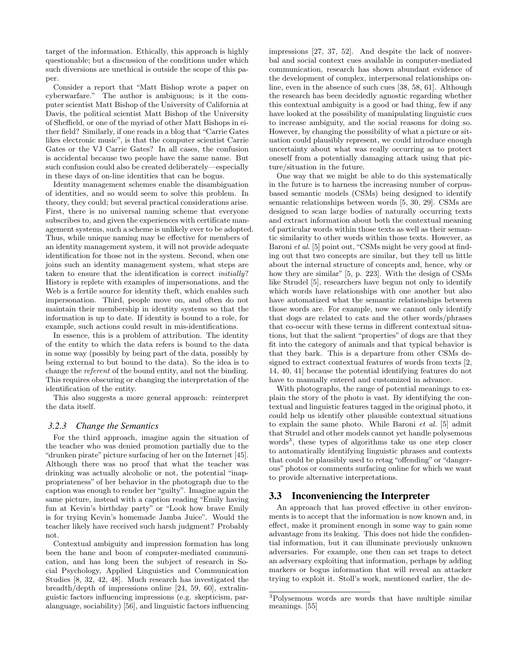target of the information. Ethically, this approach is highly questionable; but a discussion of the conditions under which such diversions are unethical is outside the scope of this paper.

Consider a report that "Matt Bishop wrote a paper on cyberwarfare." The author is ambiguous; is it the computer scientist Matt Bishop of the University of California at Davis, the political scientist Matt Bishop of the University of Sheffield, or one of the myriad of other Matt Bishops in either field? Similarly, if one reads in a blog that "Carrie Gates likes electronic music", is that the computer scientist Carrie Gates or the VJ Carrie Gates? In all cases, the confusion is accidental because two people have the same name. But such confusion could also be created deliberately—especially in these days of on-line identities that can be bogus.

Identity management schemes enable the disambiguation of identities, and so would seem to solve this problem. In theory, they could; but several practical considerations arise. First, there is no universal naming scheme that everyone subscribes to, and given the experiences with certificate management systems, such a scheme is unlikely ever to be adopted. Thus, while unique naming may be effective for members of an identity management system, it will not provide adequate identification for those not in the system. Second, when one joins such an identity management system, what steps are taken to ensure that the identification is correct initially? History is replete with examples of impersonations, and the Web is a fertile source for identity theft, which enables such impersonation. Third, people move on, and often do not maintain their membership in identity systems so that the information is up to date. If identity is bound to a role, for example, such actions could result in mis-identifications.

In essence, this is a problem of attribution. The identity of the entity to which the data refers is bound to the data in some way (possibly by being part of the data, possibly by being external to but bound to the data). So the idea is to change the referent of the bound entity, and not the binding. This requires obscuring or changing the interpretation of the identification of the entity.

This also suggests a more general approach: reinterpret the data itself.

#### *3.2.3 Change the Semantics*

For the third approach, imagine again the situation of the teacher who was denied promotion partially due to the "drunken pirate" picture surfacing of her on the Internet [45]. Although there was no proof that what the teacher was drinking was actually alcoholic or not, the potential "inappropriateness" of her behavior in the photograph due to the caption was enough to render her "guilty". Imagine again the same picture, instead with a caption reading "Emily having fun at Kevin's birthday party" or "Look how brave Emily is for trying Kevin's homemade Jamba Juice". Would the teacher likely have received such harsh judgment? Probably not.

Contextual ambiguity and impression formation has long been the bane and boon of computer-mediated communication, and has long been the subject of research in Social Psychology, Applied Linguistics and Communication Studies [8, 32, 42, 48]. Much research has investigated the breadth/depth of impressions online [24, 59, 60], extralinguistic factors influencing impressions (e.g. skepticism, paralanguage, sociability) [56], and linguistic factors influencing

impressions [27, 37, 52]. And despite the lack of nonverbal and social context cues available in computer-mediated communication, research has shown abundant evidence of the development of complex, interpersonal relationships online, even in the absence of such cues [38, 58, 61]. Although the research has been decidedly agnostic regarding whether this contextual ambiguity is a good or bad thing, few if any have looked at the possibility of manipulating linguistic cues to increase ambiguity, and the social reasons for doing so. However, by changing the possibility of what a picture or situation could plausibly represent, we could introduce enough uncertainty about what was really occurring as to protect oneself from a potentially damaging attack using that picture/situation in the future.

One way that we might be able to do this systematically in the future is to harness the increasing number of corpusbased semantic models (CSMs) being designed to identify semantic relationships between words [5, 30, 29]. CSMs are designed to scan large bodies of naturally occurring texts and extract information about both the contextual meaning of particular words within those texts as well as their semantic similarity to other words within those texts. However, as Baroni et al. [5] point out, "CSMs might be very good at finding out that two concepts are similar, but they tell us little about the internal structure of concepts and, hence, why or how they are similar" [5, p. 223]. With the design of CSMs like Strudel [5], researchers have begun not only to identify which words have relationships with one another but also have automatized what the semantic relationships between those words are. For example, now we cannot only identify that dogs are related to cats and the other words/phrases that co-occur with these terms in different contextual situations, but that the salient "properties" of dogs are that they fit into the category of animals and that typical behavior is that they bark. This is a departure from other CSMs designed to extract contextual features of words from texts [2, 14, 40, 41] because the potential identifying features do not have to manually entered and customized in advance.

With photographs, the range of potential meanings to explain the story of the photo is vast. By identifying the contextual and linguistic features tagged in the original photo, it could help us identify other plausible contextual situations to explain the same photo. While Baroni et al. [5] admit that Strudel and other models cannot yet handle polysemous words<sup>3</sup>, these types of algorithms take us one step closer to automatically identifying linguistic phrases and contexts that could be plausibly used to retag "offending" or "dangerous" photos or comments surfacing online for which we want to provide alternative interpretations.

# 3.3 Inconveniencing the Interpreter

An approach that has proved effective in other environments is to accept that the information is now known and, in effect, make it prominent enough in some way to gain some advantage from its leaking. This does not hide the confidential information, but it can illuminate previously unknown adversaries. For example, one then can set traps to detect an adversary exploiting that information, perhaps by adding markers or bogus information that will reveal an attacker trying to exploit it. Stoll's work, mentioned earlier, the de-

<sup>3</sup>Polysemous words are words that have multiple similar meanings. [55]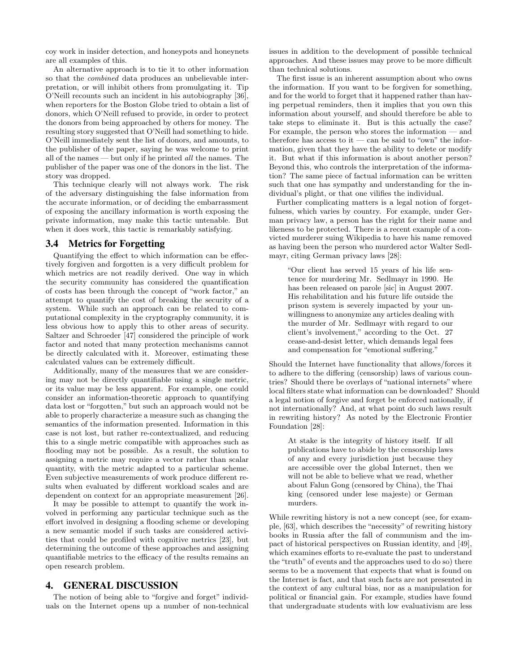coy work in insider detection, and honeypots and honeynets are all examples of this.

An alternative approach is to tie it to other information so that the combined data produces an unbelievable interpretation, or will inhibit others from promulgating it. Tip O'Neill recounts such an incident in his autobiography [36], when reporters for the Boston Globe tried to obtain a list of donors, which O'Neill refused to provide, in order to protect the donors from being approached by others for money. The resulting story suggested that O'Neill had something to hide. O'Neill immediately sent the list of donors, and amounts, to the publisher of the paper, saying he was welcome to print all of the names — but only if he printed  $all$  the names. The publisher of the paper was one of the donors in the list. The story was dropped.

This technique clearly will not always work. The risk of the adversary distinguishing the false information from the accurate information, or of deciding the embarrassment of exposing the ancillary information is worth exposing the private information, may make this tactic untenable. But when it does work, this tactic is remarkably satisfying.

## 3.4 Metrics for Forgetting

Quantifying the effect to which information can be effectively forgiven and forgotten is a very difficult problem for which metrics are not readily derived. One way in which the security community has considered the quantification of costs has been through the concept of "work factor," an attempt to quantify the cost of breaking the security of a system. While such an approach can be related to computational complexity in the cryptography community, it is less obvious how to apply this to other areas of security. Saltzer and Schroeder [47] considered the principle of work factor and noted that many protection mechanisms cannot be directly calculated with it. Moreover, estimating these calculated values can be extremely difficult.

Additionally, many of the measures that we are considering may not be directly quantifiable using a single metric, or its value may be less apparent. For example, one could consider an information-theoretic approach to quantifying data lost or "forgotten," but such an approach would not be able to properly characterize a measure such as changing the semantics of the information presented. Information in this case is not lost, but rather re-contextualized, and reducing this to a single metric compatible with approaches such as flooding may not be possible. As a result, the solution to assigning a metric may require a vector rather than scalar quantity, with the metric adapted to a particular scheme. Even subjective measurements of work produce different results when evaluated by different workload scales and are dependent on context for an appropriate measurement [26].

It may be possible to attempt to quantify the work involved in performing any particular technique such as the effort involved in designing a flooding scheme or developing a new semantic model if such tasks are considered activities that could be profiled with cognitive metrics [23], but determining the outcome of these approaches and assigning quantifiable metrics to the efficacy of the results remains an open research problem.

## 4. GENERAL DISCUSSION

The notion of being able to "forgive and forget" individuals on the Internet opens up a number of non-technical issues in addition to the development of possible technical approaches. And these issues may prove to be more difficult than technical solutions.

The first issue is an inherent assumption about who owns the information. If you want to be forgiven for something, and for the world to forget that it happened rather than having perpetual reminders, then it implies that you own this information about yourself, and should therefore be able to take steps to eliminate it. But is this actually the case? For example, the person who stores the information — and therefore has access to it — can be said to "own" the information, given that they have the ability to delete or modify it. But what if this information is about another person? Beyond this, who controls the interpretation of the information? The same piece of factual information can be written such that one has sympathy and understanding for the individual's plight, or that one vilifies the individual.

Further complicating matters is a legal notion of forgetfulness, which varies by country. For example, under German privacy law, a person has the right for their name and likeness to be protected. There is a recent example of a convicted murderer suing Wikipedia to have his name removed as having been the person who murdered actor Walter Sedlmayr, citing German privacy laws [28]:

"Our client has served 15 years of his life sentence for murdering Mr. Sedlmayr in 1990. He has been released on parole [sic] in August 2007. His rehabilitation and his future life outside the prison system is severely impacted by your unwillingness to anonymize any articles dealing with the murder of Mr. Sedlmayr with regard to our client's involvement," according to the Oct. 27 cease-and-desist letter, which demands legal fees and compensation for "emotional suffering."

Should the Internet have functionality that allows/forces it to adhere to the differing (censorship) laws of various countries? Should there be overlays of "national internets" where local filters state what information can be downloaded? Should a legal notion of forgive and forget be enforced nationally, if not internationally? And, at what point do such laws result in rewriting history? As noted by the Electronic Frontier Foundation [28]:

At stake is the integrity of history itself. If all publications have to abide by the censorship laws of any and every jurisdiction just because they are accessible over the global Internet, then we will not be able to believe what we read, whether about Falun Gong (censored by China), the Thai king (censored under lese majeste) or German murders.

While rewriting history is not a new concept (see, for example, [63], which describes the "necessity" of rewriting history books in Russia after the fall of communism and the impact of historical perspectives on Russian identity, and [49], which examines efforts to re-evaluate the past to understand the "truth" of events and the approaches used to do so) there seems to be a movement that expects that what is found on the Internet is fact, and that such facts are not presented in the context of any cultural bias, nor as a manipulation for political or financial gain. For example, studies have found that undergraduate students with low evaluativism are less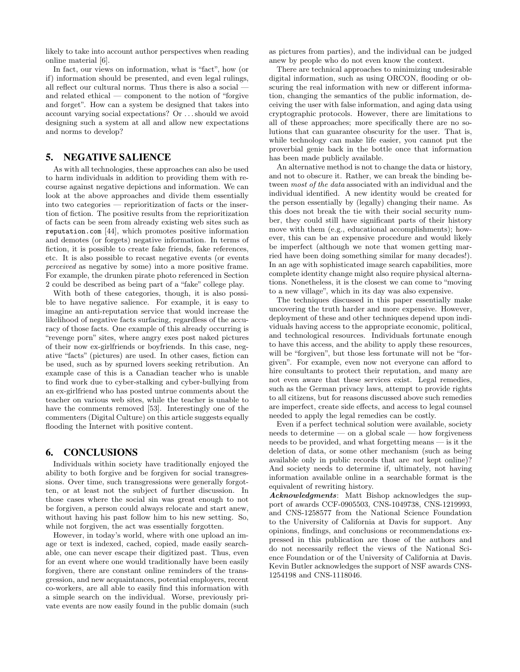likely to take into account author perspectives when reading online material [6].

In fact, our views on information, what is "fact", how (or if) information should be presented, and even legal rulings, all reflect our cultural norms. Thus there is also a social  $\overline{\phantom{a}}$ and related ethical — component to the notion of "forgive and forget". How can a system be designed that takes into account varying social expectations? Or . . . should we avoid designing such a system at all and allow new expectations and norms to develop?

## 5. NEGATIVE SALIENCE

As with all technologies, these approaches can also be used to harm individuals in addition to providing them with recourse against negative depictions and information. We can look at the above approaches and divide them essentially into two categories — reprioritization of facts or the insertion of fiction. The positive results from the reprioritization of facts can be seen from already existing web sites such as reputation.com [44], which promotes positive information and demotes (or forgets) negative information. In terms of fiction, it is possible to create fake friends, fake references, etc. It is also possible to recast negative events (or events perceived as negative by some) into a more positive frame. For example, the drunken pirate photo referenced in Section 2 could be described as being part of a "fake" college play.

With both of these categories, though, it is also possible to have negative salience. For example, it is easy to imagine an anti-reputation service that would increase the likelihood of negative facts surfacing, regardless of the accuracy of those facts. One example of this already occurring is "revenge porn" sites, where angry exes post naked pictures of their now ex-girlfriends or boyfriends. In this case, negative "facts" (pictures) are used. In other cases, fiction can be used, such as by spurned lovers seeking retribution. An example case of this is a Canadian teacher who is unable to find work due to cyber-stalking and cyber-bullying from an ex-girlfriend who has posted untrue comments about the teacher on various web sites, while the teacher is unable to have the comments removed [53]. Interestingly one of the commenters (Digital Culture) on this article suggests equally flooding the Internet with positive content.

# 6. CONCLUSIONS

Individuals within society have traditionally enjoyed the ability to both forgive and be forgiven for social transgressions. Over time, such transgressions were generally forgotten, or at least not the subject of further discussion. In those cases where the social sin was great enough to not be forgiven, a person could always relocate and start anew, without having his past follow him to his new setting. So, while not forgiven, the act was essentially forgotten.

However, in today's world, where with one upload an image or text is indexed, cached, copied, made easily searchable, one can never escape their digitized past. Thus, even for an event where one would traditionally have been easily forgiven, there are constant online reminders of the transgression, and new acquaintances, potential employers, recent co-workers, are all able to easily find this information with a simple search on the individual. Worse, previously private events are now easily found in the public domain (such as pictures from parties), and the individual can be judged anew by people who do not even know the context.

There are technical approaches to minimizing undesirable digital information, such as using ORCON, flooding or obscuring the real information with new or different information, changing the semantics of the public information, deceiving the user with false information, and aging data using cryptographic protocols. However, there are limitations to all of these approaches; more specifically there are no solutions that can guarantee obscurity for the user. That is, while technology can make life easier, you cannot put the proverbial genie back in the bottle once that information has been made publicly available.

An alternative method is not to change the data or history, and not to obscure it. Rather, we can break the binding between most of the data associated with an individual and the individual identified. A new identity would be created for the person essentially by (legally) changing their name. As this does not break the tie with their social security number, they could still have significant parts of their history move with them (e.g., educational accomplishments); however, this can be an expensive procedure and would likely be imperfect (although we note that women getting married have been doing something similar for many decades!). In an age with sophisticated image search capabilities, more complete identity change might also require physical alternations. Nonetheless, it is the closest we can come to "moving to a new village", which in its day was also expensive.

The techniques discussed in this paper essentially make uncovering the truth harder and more expensive. However, deployment of these and other techniques depend upon individuals having access to the appropriate economic, political, and technological resources. Individuals fortunate enough to have this access, and the ability to apply these resources, will be "forgiven", but those less fortunate will not be "forgiven". For example, even now not everyone can afford to hire consultants to protect their reputation, and many are not even aware that these services exist. Legal remedies, such as the German privacy laws, attempt to provide rights to all citizens, but for reasons discussed above such remedies are imperfect, create side effects, and access to legal counsel needed to apply the legal remedies can be costly.

Even if a perfect technical solution were available, society needs to determine — on a global scale — how forgiveness needs to be provided, and what forgetting means — is it the deletion of data, or some other mechanism (such as being available only in public records that are not kept online)? And society needs to determine if, ultimately, not having information available online in a searchable format is the equivalent of rewriting history.

Acknowledgments: Matt Bishop acknowledges the support of awards CCF-0905503, CNS-1049738, CNS-1219993, and CNS-1258577 from the National Science Foundation to the University of California at Davis for support. Any opinions, findings, and conclusions or recommendations expressed in this publication are those of the authors and do not necessarily reflect the views of the National Science Foundation or of the University of California at Davis. Kevin Butler acknowledges the support of NSF awards CNS-1254198 and CNS-1118046.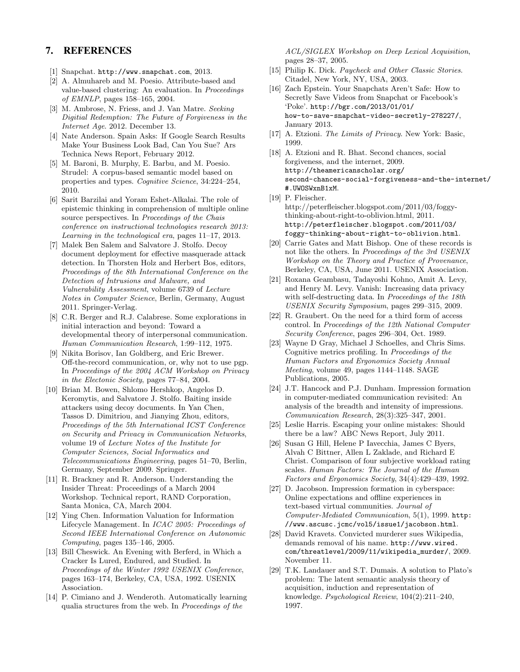# 7. REFERENCES

- [1] Snapchat. http://www.snapchat.com, 2013.
- [2] A. Almuhareb and M. Poesio. Attribute-based and value-based clustering: An evaluation. In Proceedings of EMNLP, pages 158–165, 2004.
- [3] M. Ambrose, N. Friess, and J. Van Matre. Seeking Digitial Redemption: The Future of Forgiveness in the Internet Age. 2012. December 13.
- [4] Nate Anderson. Spain Asks: If Google Search Results Make Your Business Look Bad, Can You Sue? Ars Technica News Report, February 2012.
- [5] M. Baroni, B. Murphy, E. Barbu, and M. Poesio. Strudel: A corpus-based semantic model based on properties and types. Cognitive Science, 34:224–254, 2010.
- [6] Sarit Barzilai and Yoram Eshet-Alkalai. The role of epistemic thinking in comprehension of multiple online source perspectives. In Proceedings of the Chais conference on instructional technologies research 2013: Learning in the technological era, pages 11–17, 2013.
- [7] Malek Ben Salem and Salvatore J. Stolfo. Decoy document deployment for effective masquerade attack detection. In Thorsten Holz and Herbert Bos, editors, Proceedings of the 8th International Conference on the Detection of Intrusions and Malware, and Vulnerability Assessment, volume 6739 of Lecture Notes in Computer Science, Berlin, Germany, August 2011. Springer-Verlag.
- [8] C.R. Berger and R.J. Calabrese. Some explorations in initial interaction and beyond: Toward a developmental theory of interpersonal communication. Human Communication Research, 1:99–112, 1975.
- [9] Nikita Borisov, Ian Goldberg, and Eric Brewer. Off-the-record communication, or, why not to use pgp. In Proceedings of the 2004 ACM Workshop on Privacy in the Electonic Society, pages 77–84, 2004.
- [10] Brian M. Bowen, Shlomo Hershkop, Angelos D. Keromytis, and Salvatore J. Stolfo. Baiting inside attackers using decoy documents. In Yan Chen, Tassos D. Dimitriou, and Jianying Zhou, editors, Proceedings of the 5th International ICST Conference on Security and Privacy in Communication Networks, volume 19 of Lecture Notes of the Institute for Computer Sciences, Social Informatics and Telecommunications Engineering, pages 51–70, Berlin, Germany, September 2009. Springer.
- [11] R. Brackney and R. Anderson. Understanding the Insider Threat: Proceedings of a March 2004 Workshop. Technical report, RAND Corporation, Santa Monica, CA, March 2004.
- [12] Ying Chen. Information Valuation for Information Lifecycle Management. In ICAC 2005: Proceedings of Second IEEE International Conference on Autonomic Computing, pages 135–146, 2005.
- [13] Bill Cheswick. An Evening with Berferd, in Which a Cracker Is Lured, Endured, and Studied. In Proceedings of the Winter 1992 USENIX Conference, pages 163–174, Berkeley, CA, USA, 1992. USENIX Association.
- [14] P. Cimiano and J. Wenderoth. Automatically learning qualia structures from the web. In Proceedings of the

ACL/SIGLEX Workshop on Deep Lexical Acquisition, pages 28–37, 2005.

- [15] Philip K. Dick. Paycheck and Other Classic Stories. Citadel, New York, NY, USA, 2003.
- [16] Zach Epstein. Your Snapchats Aren't Safe: How to Secretly Save Videos from Snapchat or Facebook's 'Poke'. http://bgr.com/2013/01/01/ how-to-save-snapchat-video-secretly-278227/, January 2013.
- [17] A. Etzioni. The Limits of Privacy. New York: Basic, 1999.
- [18] A. Etzioni and R. Bhat. Second chances, social forgiveness, and the internet, 2009. http://theamericanscholar.org/ second-chances-social-forgiveness-and-the-internet/ #.UWOSWxnB1xM.
- [19] P. Fleischer. http://peterfleischer.blogspot.com/2011/03/foggythinking-about-right-to-oblivion.html, 2011. http://peterfleischer.blogspot.com/2011/03/ foggy-thinking-about-right-to-oblivion.html.
- [20] Carrie Gates and Matt Bishop. One of these records is not like the others. In Proceedings of the 3rd USENIX Workshop on the Theory and Practice of Provenance, Berkeley, CA, USA, June 2011. USENIX Association.
- [21] Roxana Geambasu, Tadayoshi Kohno, Amit A. Levy, and Henry M. Levy. Vanish: Increasing data privacy with self-destructing data. In Proceedings of the 18th USENIX Security Symposium, pages 299–315, 2009.
- [22] R. Graubert. On the need for a third form of access control. In Proceedings of the 12th National Computer Security Conference, pages 296–304, Oct. 1989.
- [23] Wayne D Gray, Michael J Schoelles, and Chris Sims. Cognitive metrics profiling. In Proceedings of the Human Factors and Ergonomics Society Annual Meeting, volume 49, pages 1144–1148. SAGE Publications, 2005.
- [24] J.T. Hancock and P.J. Dunham. Impression formation in computer-mediated communication revisited: An analysis of the breadth and intensity of impressions. Communication Research, 28(3):325–347, 2001.
- [25] Leslie Harris. Escaping your online mistakes: Should there be a law? ABC News Report, July 2011.
- [26] Susan G Hill, Helene P Iavecchia, James C Byers, Alvah C Bittner, Allen L Zaklade, and Richard E Christ. Comparison of four subjective workload rating scales. Human Factors: The Journal of the Human Factors and Ergonomics Society, 34(4):429–439, 1992.
- [27] D. Jacobson. Impression formation in cyberspace: Online expectations and offline experiences in text-based virtual communities. Journal of Computer-Mediated Communication, 5(1), 1999. http: //www.ascusc.jcmc/vol5/issue1/jacobson.html.
- [28] David Kravets. Convicted murderer sues Wikipedia, demands removal of his name. http://www.wired. com/threatlevel/2009/11/wikipedia\_murder/, 2009. November 11.
- [29] T.K. Landauer and S.T. Dumais. A solution to Plato's problem: The latent semantic analysis theory of acquisition, induction and representation of knowledge. Psychological Review, 104(2):211–240, 1997.